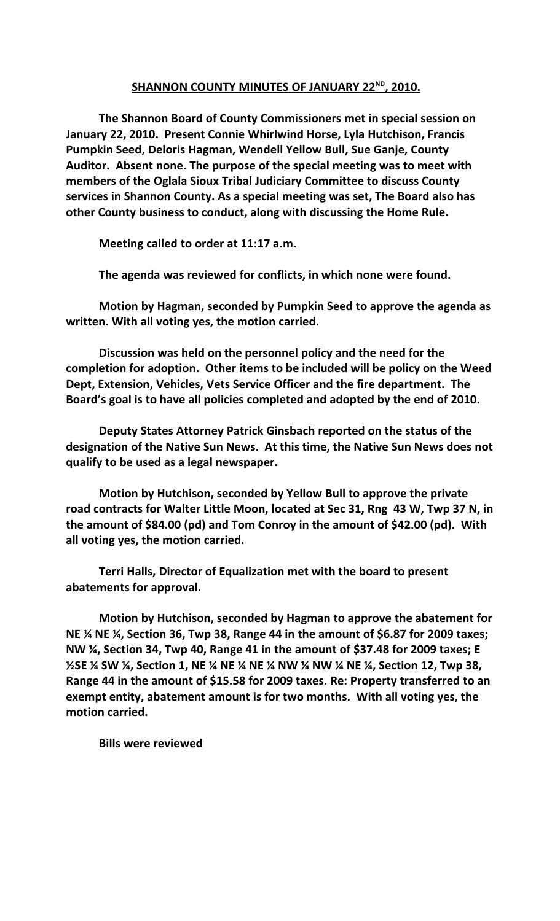## **SHANNON COUNTY MINUTES OF JANUARY 22ND , 2010.**

**The Shannon Board of County Commissioners met in special session on January 22, 2010. Present Connie Whirlwind Horse, Lyla Hutchison, Francis Pumpkin Seed, Deloris Hagman, Wendell Yellow Bull, Sue Ganje, County Auditor. Absent none. The purpose of the special meeting was to meet with members of the Oglala Sioux Tribal Judiciary Committee to discuss County services in Shannon County. As a special meeting was set, The Board also has other County business to conduct, along with discussing the Home Rule.**

**Meeting called to order at 11:17 a.m.**

**The agenda was reviewed for conflicts, in which none were found.**

**Motion by Hagman, seconded by Pumpkin Seed to approve the agenda as written. With all voting yes, the motion carried.**

**Discussion was held on the personnel policy and the need for the completion for adoption. Other items to be included will be policy on the Weed Dept, Extension, Vehicles, Vets Service Officer and the fire department. The Board's goal is to have all policies completed and adopted by the end of 2010.** 

**Deputy States Attorney Patrick Ginsbach reported on the status of the designation of the Native Sun News. At this time, the Native Sun News does not qualify to be used as a legal newspaper.**

**Motion by Hutchison, seconded by Yellow Bull to approve the private road contracts for Walter Little Moon, located at Sec 31, Rng 43 W, Twp 37 N, in the amount of \$84.00 (pd) and Tom Conroy in the amount of \$42.00 (pd). With all voting yes, the motion carried.**

**Terri Halls, Director of Equalization met with the board to present abatements for approval.**

**Motion by Hutchison, seconded by Hagman to approve the abatement for NE ¼ NE ¼, Section 36, Twp 38, Range 44 in the amount of \$6.87 for 2009 taxes; NW ¼, Section 34, Twp 40, Range 41 in the amount of \$37.48 for 2009 taxes; E ½SE ¼ SW ¼, Section 1, NE ¼ NE ¼ NE ¼ NW ¼ NW ¼ NE ¼, Section 12, Twp 38, Range 44 in the amount of \$15.58 for 2009 taxes. Re: Property transferred to an exempt entity, abatement amount is for two months. With all voting yes, the motion carried.**

**Bills were reviewed**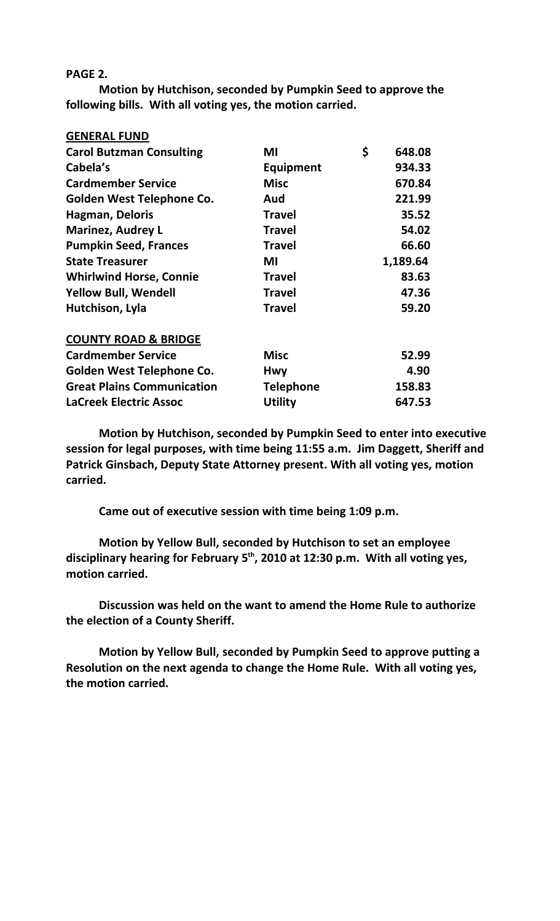## **PAGE 2.**

**Motion by Hutchison, seconded by Pumpkin Seed to approve the following bills. With all voting yes, the motion carried.**

| <b>GENERAL FUND</b>               |                  |              |
|-----------------------------------|------------------|--------------|
| <b>Carol Butzman Consulting</b>   | ΜI               | \$<br>648.08 |
| Cabela's                          | <b>Equipment</b> | 934.33       |
| <b>Cardmember Service</b>         | <b>Misc</b>      | 670.84       |
| Golden West Telephone Co.         | Aud              | 221.99       |
| Hagman, Deloris                   | <b>Travel</b>    | 35.52        |
| <b>Marinez, Audrey L</b>          | <b>Travel</b>    | 54.02        |
| <b>Pumpkin Seed, Frances</b>      | <b>Travel</b>    | 66.60        |
| <b>State Treasurer</b>            | ΜI               | 1,189.64     |
| <b>Whirlwind Horse, Connie</b>    | <b>Travel</b>    | 83.63        |
| <b>Yellow Bull, Wendell</b>       | <b>Travel</b>    | 47.36        |
| Hutchison, Lyla                   | <b>Travel</b>    | 59.20        |
| <b>COUNTY ROAD &amp; BRIDGE</b>   |                  |              |
| <b>Cardmember Service</b>         | <b>Misc</b>      | 52.99        |
| Golden West Telephone Co.         | <b>Hwy</b>       | 4.90         |
| <b>Great Plains Communication</b> | <b>Telephone</b> | 158.83       |
| <b>LaCreek Electric Assoc</b>     | <b>Utility</b>   | 647.53       |

**Motion by Hutchison, seconded by Pumpkin Seed to enter into executive session for legal purposes, with time being 11:55 a.m. Jim Daggett, Sheriff and Patrick Ginsbach, Deputy State Attorney present. With all voting yes, motion carried.**

**Came out of executive session with time being 1:09 p.m.**

**Motion by Yellow Bull, seconded by Hutchison to set an employee disciplinary hearing for February 5th, 2010 at 12:30 p.m. With all voting yes, motion carried.**

**Discussion was held on the want to amend the Home Rule to authorize the election of a County Sheriff.** 

**Motion by Yellow Bull, seconded by Pumpkin Seed to approve putting a Resolution on the next agenda to change the Home Rule. With all voting yes, the motion carried.**